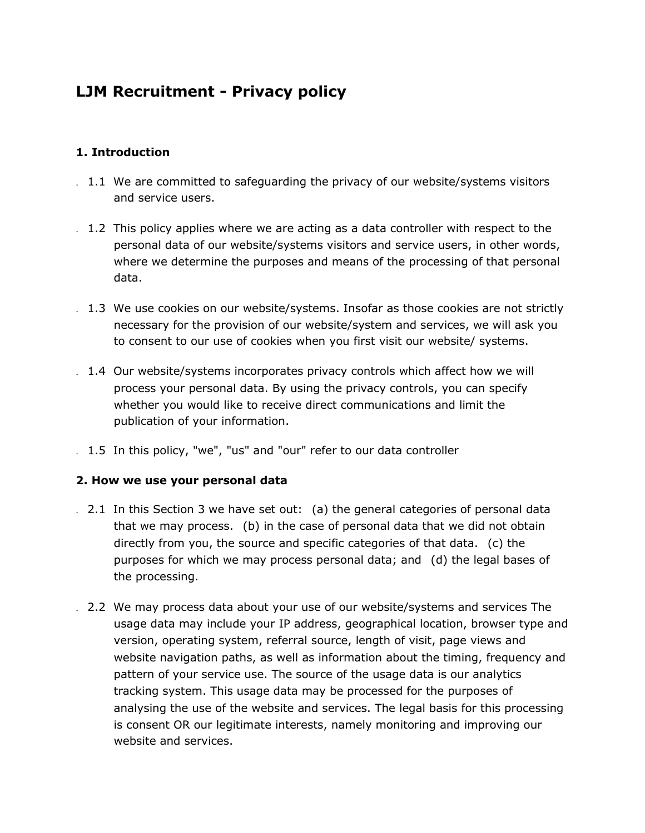# **LJM Recruitment - Privacy policy**

## **1. Introduction**

- . 1.1 We are committed to safeguarding the privacy of our website/systems visitors and service users.
- . 1.2 This policy applies where we are acting as a data controller with respect to the personal data of our website/systems visitors and service users, in other words, where we determine the purposes and means of the processing of that personal data.
- . 1.3 We use cookies on our website/systems. Insofar as those cookies are not strictly necessary for the provision of our website/system and services, we will ask you to consent to our use of cookies when you first visit our website/ systems.
- . 1.4 Our website/systems incorporates privacy controls which affect how we will process your personal data. By using the privacy controls, you can specify whether you would like to receive direct communications and limit the publication of your information.
- . 1.5 In this policy, "we", "us" and "our" refer to our data controller

# **2. How we use your personal data**

- . 2.1 In this Section 3 we have set out: (a) the general categories of personal data that we may process. (b) in the case of personal data that we did not obtain directly from you, the source and specific categories of that data. (c) the purposes for which we may process personal data; and (d) the legal bases of the processing.
- . 2.2 We may process data about your use of our website/systems and services The usage data may include your IP address, geographical location, browser type and version, operating system, referral source, length of visit, page views and website navigation paths, as well as information about the timing, frequency and pattern of your service use. The source of the usage data is our analytics tracking system. This usage data may be processed for the purposes of analysing the use of the website and services. The legal basis for this processing is consent OR our legitimate interests, namely monitoring and improving our website and services.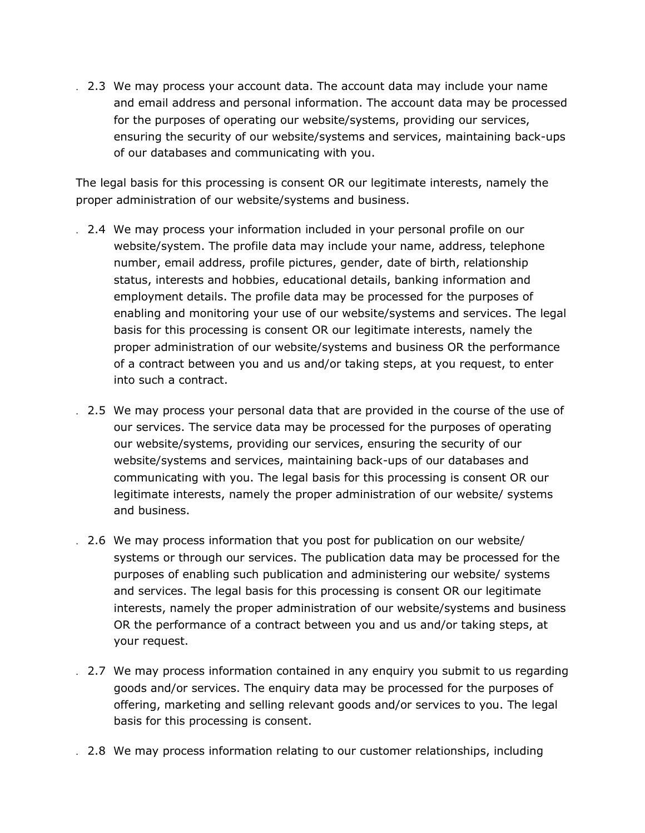. 2.3 We may process your account data. The account data may include your name and email address and personal information. The account data may be processed for the purposes of operating our website/systems, providing our services, ensuring the security of our website/systems and services, maintaining back-ups of our databases and communicating with you.

The legal basis for this processing is consent OR our legitimate interests, namely the proper administration of our website/systems and business.

- . 2.4 We may process your information included in your personal profile on our website/system. The profile data may include your name, address, telephone number, email address, profile pictures, gender, date of birth, relationship status, interests and hobbies, educational details, banking information and employment details. The profile data may be processed for the purposes of enabling and monitoring your use of our website/systems and services. The legal basis for this processing is consent OR our legitimate interests, namely the proper administration of our website/systems and business OR the performance of a contract between you and us and/or taking steps, at you request, to enter into such a contract.
- . 2.5 We may process your personal data that are provided in the course of the use of our services. The service data may be processed for the purposes of operating our website/systems, providing our services, ensuring the security of our website/systems and services, maintaining back-ups of our databases and communicating with you. The legal basis for this processing is consent OR our legitimate interests, namely the proper administration of our website/ systems and business.
- . 2.6 We may process information that you post for publication on our website/ systems or through our services. The publication data may be processed for the purposes of enabling such publication and administering our website/ systems and services. The legal basis for this processing is consent OR our legitimate interests, namely the proper administration of our website/systems and business OR the performance of a contract between you and us and/or taking steps, at your request.
- . 2.7 We may process information contained in any enquiry you submit to us regarding goods and/or services. The enquiry data may be processed for the purposes of offering, marketing and selling relevant goods and/or services to you. The legal basis for this processing is consent.
- . 2.8 We may process information relating to our customer relationships, including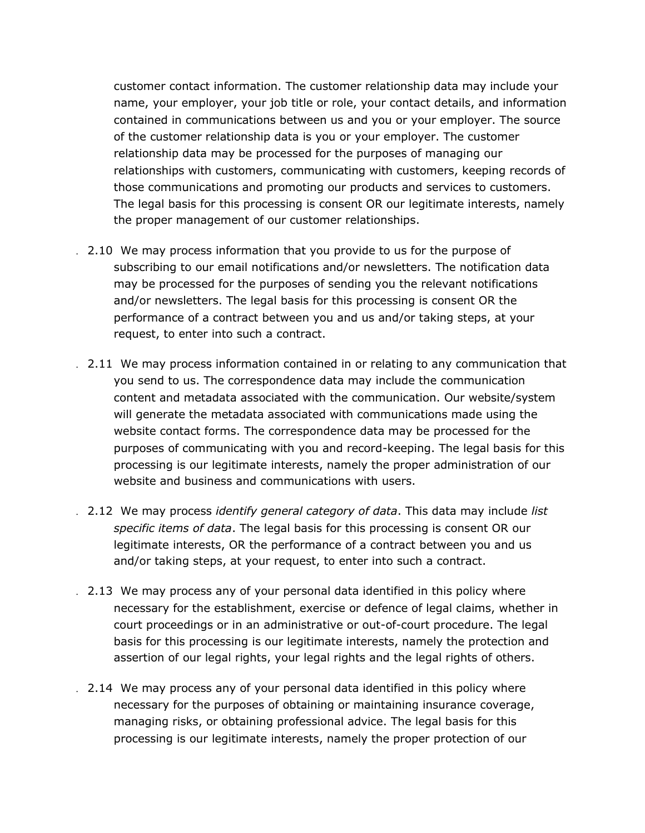customer contact information. The customer relationship data may include your name, your employer, your job title or role, your contact details, and information contained in communications between us and you or your employer. The source of the customer relationship data is you or your employer. The customer relationship data may be processed for the purposes of managing our relationships with customers, communicating with customers, keeping records of those communications and promoting our products and services to customers. The legal basis for this processing is consent OR our legitimate interests, namely the proper management of our customer relationships.

- . 2.10 We may process information that you provide to us for the purpose of subscribing to our email notifications and/or newsletters. The notification data may be processed for the purposes of sending you the relevant notifications and/or newsletters. The legal basis for this processing is consent OR the performance of a contract between you and us and/or taking steps, at your request, to enter into such a contract.
- . 2.11 We may process information contained in or relating to any communication that you send to us. The correspondence data may include the communication content and metadata associated with the communication. Our website/system will generate the metadata associated with communications made using the website contact forms. The correspondence data may be processed for the purposes of communicating with you and record-keeping. The legal basis for this processing is our legitimate interests, namely the proper administration of our website and business and communications with users.
- . 2.12 We may process *identify general category of data*. This data may include *list specific items of data*. The legal basis for this processing is consent OR our legitimate interests, OR the performance of a contract between you and us and/or taking steps, at your request, to enter into such a contract.
- . 2.13 We may process any of your personal data identified in this policy where necessary for the establishment, exercise or defence of legal claims, whether in court proceedings or in an administrative or out-of-court procedure. The legal basis for this processing is our legitimate interests, namely the protection and assertion of our legal rights, your legal rights and the legal rights of others.
- . 2.14 We may process any of your personal data identified in this policy where necessary for the purposes of obtaining or maintaining insurance coverage, managing risks, or obtaining professional advice. The legal basis for this processing is our legitimate interests, namely the proper protection of our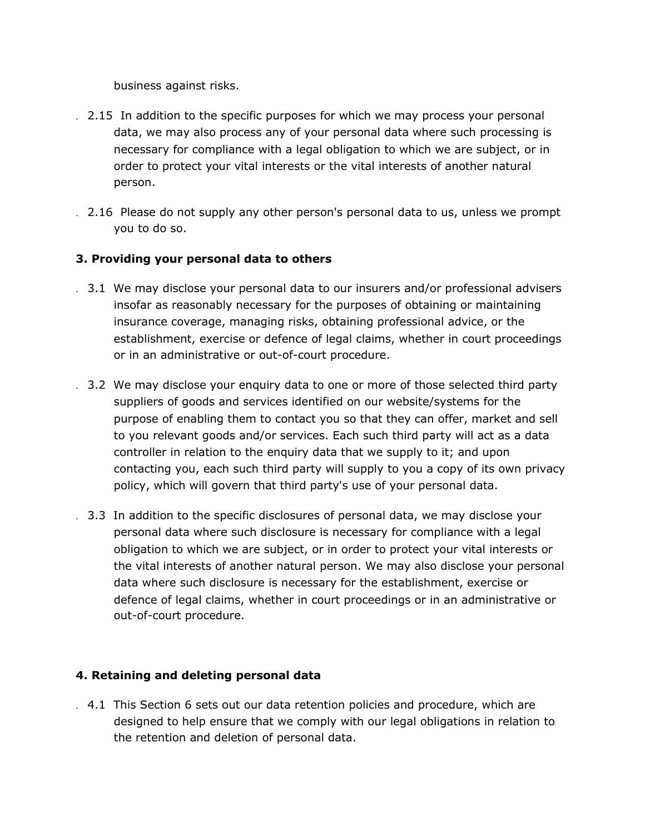business against risks.

- . 2.15 In addition to the specific purposes for which we may process your personal data, we may also process any of your personal data where such processing is necessary for compliance with a legal obligation to which we are subject, or in order to protect your vital interests or the vital interests of another natural person.
- . 2.16 Please do not supply any other person's personal data to us, unless we prompt you to do so.

# **3. Providing your personal data to others**

- . 3.1 We may disclose your personal data to our insurers and/or professional advisers insofar as reasonably necessary for the purposes of obtaining or maintaining insurance coverage, managing risks, obtaining professional advice, or the establishment, exercise or defence of legal claims, whether in court proceedings or in an administrative or out-of-court procedure.
- . 3.2 We may disclose your enquiry data to one or more of those selected third party suppliers of goods and services identified on our website/systems for the purpose of enabling them to contact you so that they can offer, market and sell to you relevant goods and/or services. Each such third party will act as a data controller in relation to the enquiry data that we supply to it; and upon contacting you, each such third party will supply to you a copy of its own privacy policy, which will govern that third party's use of your personal data.
- . 3.3 In addition to the specific disclosures of personal data, we may disclose your personal data where such disclosure is necessary for compliance with a legal obligation to which we are subject, or in order to protect your vital interests or the vital interests of another natural person. We may also disclose your personal data where such disclosure is necessary for the establishment, exercise or defence of legal claims, whether in court proceedings or in an administrative or out-of-court procedure.

# **4. Retaining and deleting personal data**

. 4.1 This Section 6 sets out our data retention policies and procedure, which are designed to help ensure that we comply with our legal obligations in relation to the retention and deletion of personal data.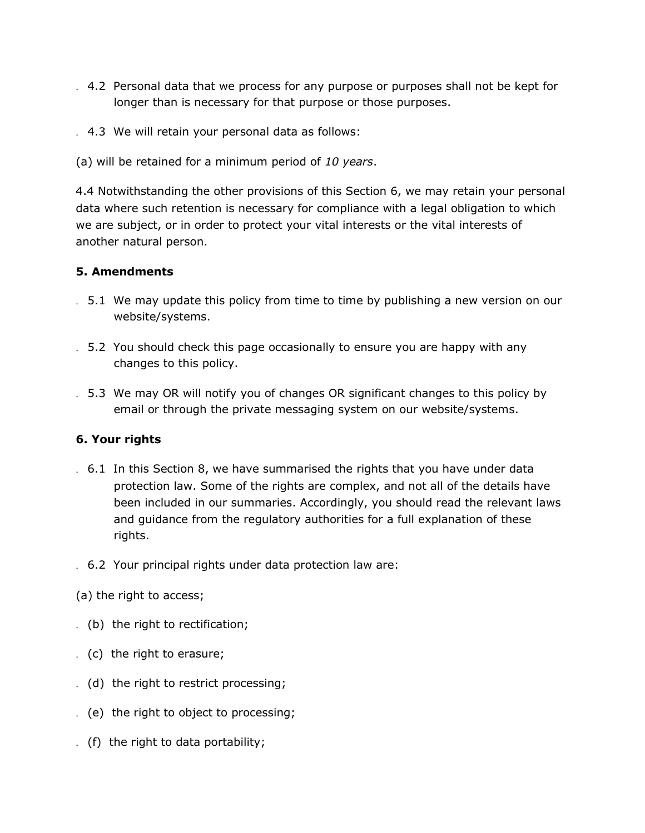- . 4.2 Personal data that we process for any purpose or purposes shall not be kept for longer than is necessary for that purpose or those purposes.
- . 4.3 We will retain your personal data as follows:
- (a) will be retained for a minimum period of *10 years*.

4.4 Notwithstanding the other provisions of this Section 6, we may retain your personal data where such retention is necessary for compliance with a legal obligation to which we are subject, or in order to protect your vital interests or the vital interests of another natural person.

#### **5. Amendments**

- . 5.1 We may update this policy from time to time by publishing a new version on our website/systems.
- . 5.2 You should check this page occasionally to ensure you are happy with any changes to this policy.
- . 5.3 We may OR will notify you of changes OR significant changes to this policy by email or through the private messaging system on our website/systems.

#### **6. Your rights**

- . 6.1 In this Section 8, we have summarised the rights that you have under data protection law. Some of the rights are complex, and not all of the details have been included in our summaries. Accordingly, you should read the relevant laws and guidance from the regulatory authorities for a full explanation of these rights.
- . 6.2 Your principal rights under data protection law are:
- (a) the right to access;
- . (b) the right to rectification;
- . (c) the right to erasure;
- . (d) the right to restrict processing;
- . (e) the right to object to processing;
- . (f) the right to data portability;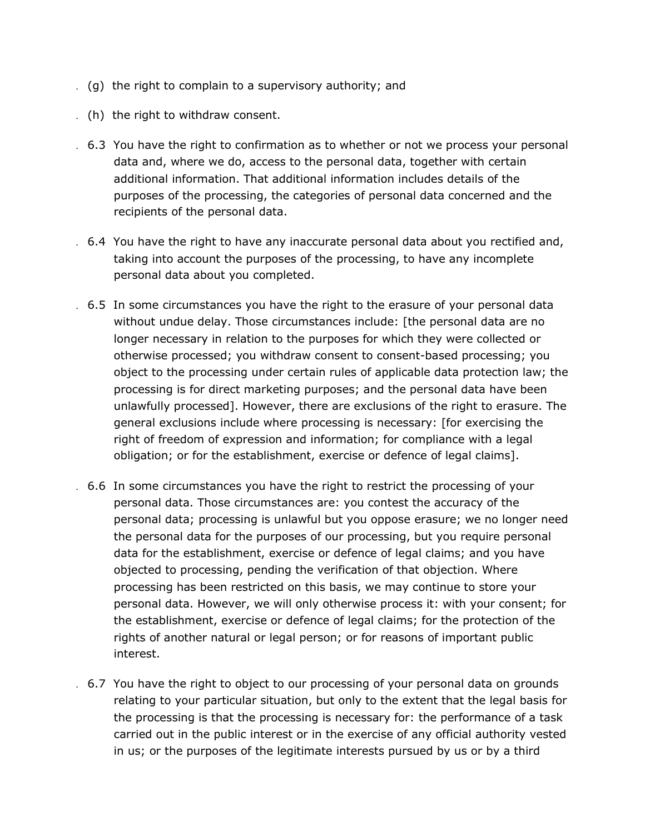- . (g) the right to complain to a supervisory authority; and
- . (h) the right to withdraw consent.
- . 6.3 You have the right to confirmation as to whether or not we process your personal data and, where we do, access to the personal data, together with certain additional information. That additional information includes details of the purposes of the processing, the categories of personal data concerned and the recipients of the personal data.
- . 6.4 You have the right to have any inaccurate personal data about you rectified and, taking into account the purposes of the processing, to have any incomplete personal data about you completed.
- . 6.5 In some circumstances you have the right to the erasure of your personal data without undue delay. Those circumstances include: [the personal data are no longer necessary in relation to the purposes for which they were collected or otherwise processed; you withdraw consent to consent-based processing; you object to the processing under certain rules of applicable data protection law; the processing is for direct marketing purposes; and the personal data have been unlawfully processed]. However, there are exclusions of the right to erasure. The general exclusions include where processing is necessary: [for exercising the right of freedom of expression and information; for compliance with a legal obligation; or for the establishment, exercise or defence of legal claims].
- . 6.6 In some circumstances you have the right to restrict the processing of your personal data. Those circumstances are: you contest the accuracy of the personal data; processing is unlawful but you oppose erasure; we no longer need the personal data for the purposes of our processing, but you require personal data for the establishment, exercise or defence of legal claims; and you have objected to processing, pending the verification of that objection. Where processing has been restricted on this basis, we may continue to store your personal data. However, we will only otherwise process it: with your consent; for the establishment, exercise or defence of legal claims; for the protection of the rights of another natural or legal person; or for reasons of important public interest.
- . 6.7 You have the right to object to our processing of your personal data on grounds relating to your particular situation, but only to the extent that the legal basis for the processing is that the processing is necessary for: the performance of a task carried out in the public interest or in the exercise of any official authority vested in us; or the purposes of the legitimate interests pursued by us or by a third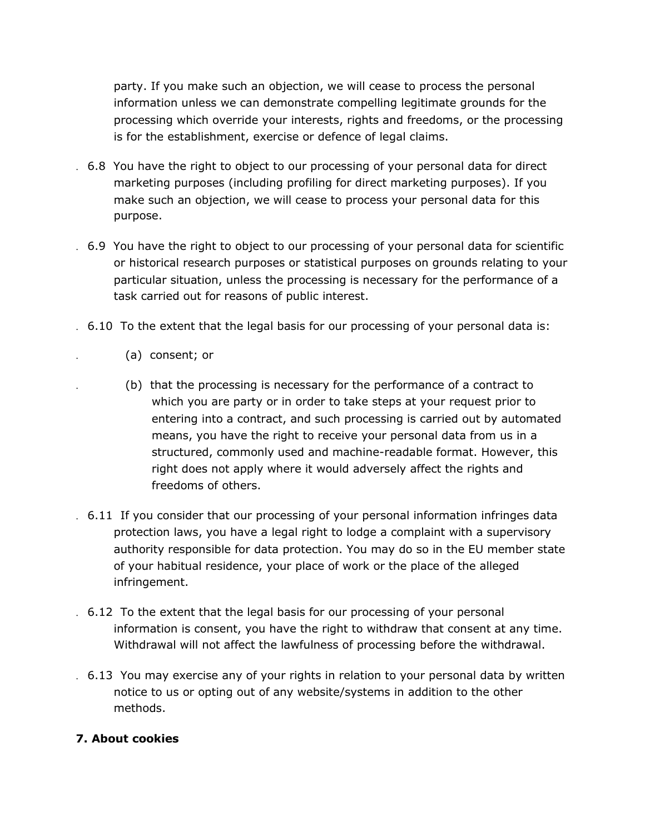party. If you make such an objection, we will cease to process the personal information unless we can demonstrate compelling legitimate grounds for the processing which override your interests, rights and freedoms, or the processing is for the establishment, exercise or defence of legal claims.

- . 6.8 You have the right to object to our processing of your personal data for direct marketing purposes (including profiling for direct marketing purposes). If you make such an objection, we will cease to process your personal data for this purpose.
- . 6.9 You have the right to object to our processing of your personal data for scientific or historical research purposes or statistical purposes on grounds relating to your particular situation, unless the processing is necessary for the performance of a task carried out for reasons of public interest.
- . 6.10 To the extent that the legal basis for our processing of your personal data is:
	- . (a) consent; or
	- . (b) that the processing is necessary for the performance of a contract to which you are party or in order to take steps at your request prior to entering into a contract, and such processing is carried out by automated means, you have the right to receive your personal data from us in a structured, commonly used and machine-readable format. However, this right does not apply where it would adversely affect the rights and freedoms of others.
- . 6.11 If you consider that our processing of your personal information infringes data protection laws, you have a legal right to lodge a complaint with a supervisory authority responsible for data protection. You may do so in the EU member state of your habitual residence, your place of work or the place of the alleged infringement.
- . 6.12 To the extent that the legal basis for our processing of your personal information is consent, you have the right to withdraw that consent at any time. Withdrawal will not affect the lawfulness of processing before the withdrawal.
- . 6.13 You may exercise any of your rights in relation to your personal data by written notice to us or opting out of any website/systems in addition to the other methods.

# **7. About cookies**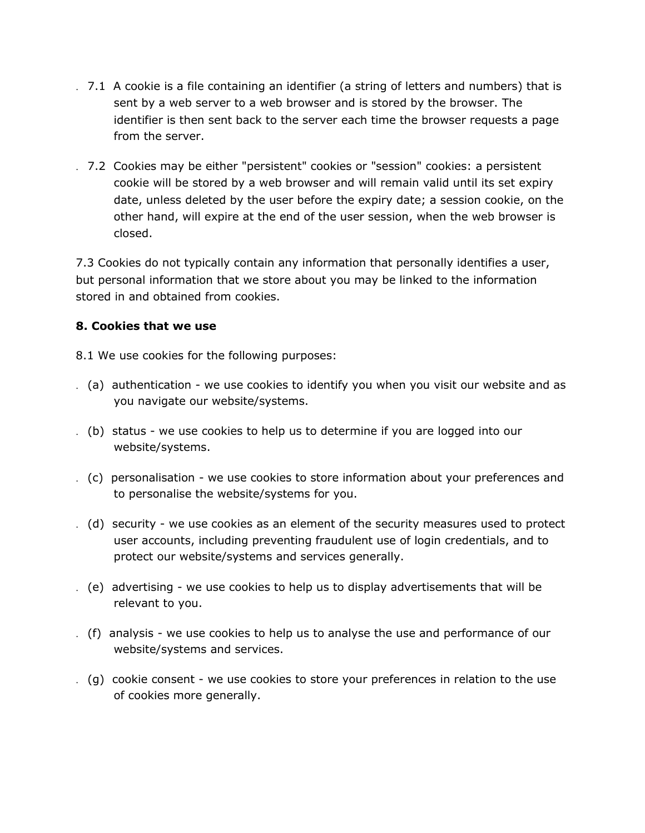- . 7.1 A cookie is a file containing an identifier (a string of letters and numbers) that is sent by a web server to a web browser and is stored by the browser. The identifier is then sent back to the server each time the browser requests a page from the server.
- . 7.2 Cookies may be either "persistent" cookies or "session" cookies: a persistent cookie will be stored by a web browser and will remain valid until its set expiry date, unless deleted by the user before the expiry date; a session cookie, on the other hand, will expire at the end of the user session, when the web browser is closed.

7.3 Cookies do not typically contain any information that personally identifies a user, but personal information that we store about you may be linked to the information stored in and obtained from cookies.

## **8. Cookies that we use**

8.1 We use cookies for the following purposes:

- . (a) authentication we use cookies to identify you when you visit our website and as you navigate our website/systems.
- . (b) status we use cookies to help us to determine if you are logged into our website/systems.
- . (c) personalisation we use cookies to store information about your preferences and to personalise the website/systems for you.
- . (d) security we use cookies as an element of the security measures used to protect user accounts, including preventing fraudulent use of login credentials, and to protect our website/systems and services generally.
- . (e) advertising we use cookies to help us to display advertisements that will be relevant to you.
- . (f) analysis we use cookies to help us to analyse the use and performance of our website/systems and services.
- . (g) cookie consent we use cookies to store your preferences in relation to the use of cookies more generally.